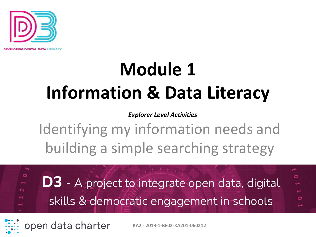

## **Module 1 Information & Data Literacy**

*Explorer Level Activities*

Identifying my information needs and building a simple searching strategy

**D3** - A project to integrate open data, digital skills & democratic engagement in schools

 $\circ$ 

open data charter

**KA2 - 2019-1-BE02-KA201-060212**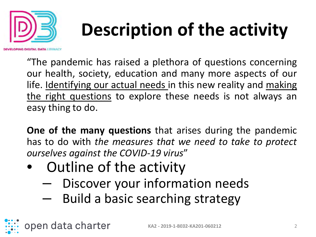

## **Description of the activity**

"The pandemic has raised a plethora of questions concerning our health, society, education and many more aspects of our life. Identifying our actual needs in this new reality and making the right questions to explore these needs is not always an easy thing to do.

**One of the many questions** that arises during the pandemic has to do with *the measures that we need to take to protect ourselves against the COVID-19 virus*"

• Outline of the activity

open data charter

- Discover your information needs
- Build a basic searching strategy

**KA2 - 2019-1-BE02-KA201-060212** 2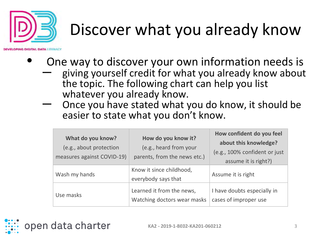

#### Discover what you already know

- One way to discover your own information needs is
	- giving yourself credit for what you already know about the topic. The following chart can help you list<br>whatever you already know.
	- Once you have stated what you do know, it should be easier to state what you don't know.

| What do you know?<br>(e.g., about protection<br>measures against COVID-19) | How do you know it?<br>(e.g., heard from your<br>parents, from the news etc.) | How confident do you feel<br>about this knowledge?<br>(e.g., 100% confident or just<br>assume it is right?) |
|----------------------------------------------------------------------------|-------------------------------------------------------------------------------|-------------------------------------------------------------------------------------------------------------|
| Wash my hands                                                              | Know it since childhood,<br>everybody says that                               | Assume it is right                                                                                          |
| Use masks                                                                  | Learned it from the news,<br>Watching doctors wear masks                      | I have doubts especially in<br>cases of improper use                                                        |

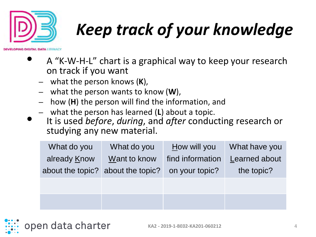

## *Keep track of your knowledge*

**DIGITAL DATA LITERAL** 

- A "K-W-H-L" chart is a graphical way to keep your research on track if you want
	- what the person knows (**K**),
	- what the person wants to know (**W**),
	- how (**H**) the person will find the information, and
	- what the person has learned (**L**) about a topic.
- It is used *before*, *during*, and *after* conducting research or studying any new material.

| What do you      | What do you      | How will you     | What have you        |
|------------------|------------------|------------------|----------------------|
| already Know     | Want to know     | find information | <b>Learned about</b> |
| about the topic? | about the topic? | on your topic?   | the topic?           |
|                  |                  |                  |                      |
|                  |                  |                  |                      |
|                  |                  |                  |                      |

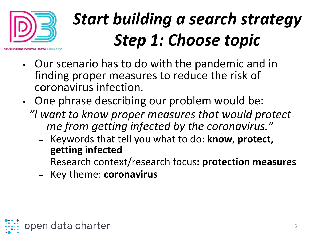

### *Start building a search strategy Step 1: Choose topic*

- Our scenario has to do with the pandemic and in finding proper measures to reduce the risk of coronavirus infection.
- One phrase describing our problem would be: *"I want to know proper measures that would protect me from getting infected by the coronavirus."*
	- Keywords that tell you what to do: **know**, **protect, getting infected**
	- Research context/research focus**: protection measures**
	- Key theme: **coronavirus**

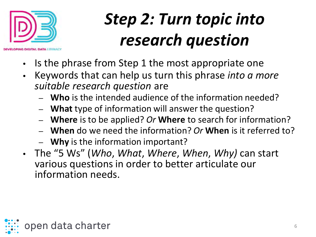

#### *Step 2: Turn topic into research question*

- Is the phrase from Step 1 the most appropriate one
- Keywords that can help us turn this phrase *into a more suitable research question* are
	- **Who** is the intended audience of the information needed?
	- **What** type of information will answer the question?
	- **Where** is to be applied? *Or* **Where** to search for information?
	- **When** do we need the information? *Or* **When** is it referred to?
	- **Why** is the information important?
- The "5 Ws" (*Who*, *What*, *Where*, *When*, *Why)* can start various questions in order to better articulate our information needs.

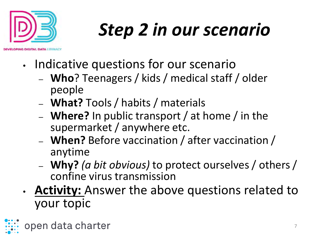

# *Step 2 in our scenario*

- Indicative questions for our scenario
	- **Who**? Teenagers / kids / medical staff / older people
	- **What?** Tools / habits / materials
	- **Where?** In public transport / at home / in the supermarket / anywhere etc.
	- **When?** Before vaccination / after vaccination / anytime
	- **Why?** *(a bit obvious)* to protect ourselves / others / confine virus transmission
- **Activity:** Answer the above questions related to your topic

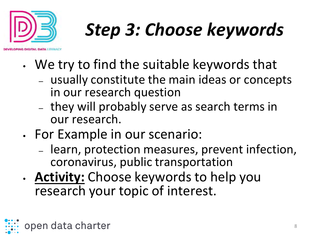

# *Step 3: Choose keywords*

- We try to find the suitable keywords that
	- usually constitute the main ideas or concepts in our research question
	- they will probably serve as search terms in our research.
- For Example in our scenario:
	- learn, protection measures, prevent infection, coronavirus, public transportation
- **Activity:** Choose keywords to help you research your topic of interest.

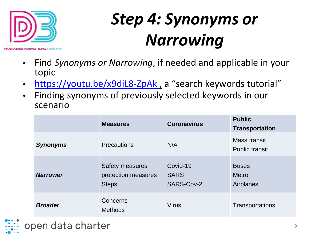

#### *Step 4: Synonyms or Narrowing*

- Find *Synonyms or Narrowing*, if needed and applicable in your topic
- https://youtu.be/x9diL8-ZpAk, a "search keywords tutorial"
- Finding synonyms of previously selected keywords in our scenario

|                 | <b>Measures</b>                                               | <b>Coronavirus</b>                    | <b>Public</b><br><b>Transportation</b>    |
|-----------------|---------------------------------------------------------------|---------------------------------------|-------------------------------------------|
| <b>Synonyms</b> | <b>Precautions</b>                                            | N/A                                   | Mass transit<br><b>Public transit</b>     |
| <b>Narrower</b> | <b>Safety measures</b><br>protection measures<br><b>Steps</b> | Covid-19<br><b>SARS</b><br>SARS-Cov-2 | <b>Buses</b><br><b>Metro</b><br>Airplanes |
| <b>Broader</b>  | Concerns<br><b>Methods</b>                                    | <b>Virus</b>                          | Transportations                           |

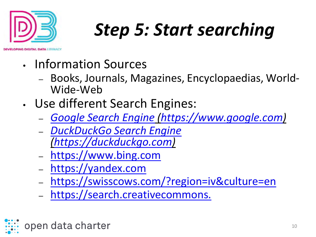

## *Step 5: Start searching*

- Information Sources
	- Books, Journals, Magazines, Encyclopaedias, World- Wide-Web
- Use different Search Engines:
	- *[Google Search Engine](https://www.google.com/) [\(https://www.google.com\)](https://www.google.com/)*
	- *[DuckDuckGo Search Engine](https://duckduckgo.com/) [\(https://duckduckgo.com](https://duckduckgo.com/))*
	- [https://www.bing.com](https://www.bing.com/)
	- [https://yandex.com](https://yandex.com/)
	- <https://swisscows.com/?region=iv&culture=en>
	- [https://search.creativecommons.](https://search.creativecommons.org/)